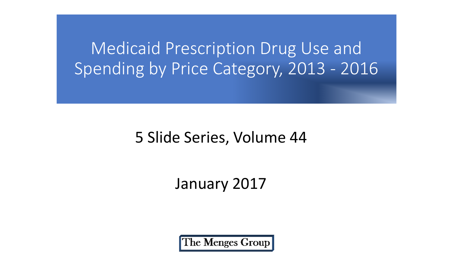Medicaid Prescription Drug Use and Spending by Price Category, 2013 - 2016

# 5 Slide Series, Volume 44

# January 2017

The Menges Group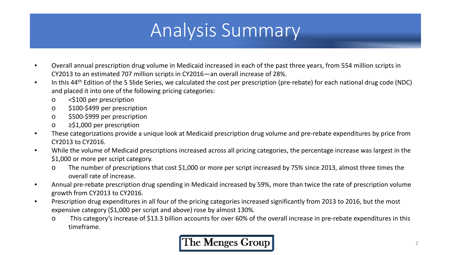# Analysis Summary

- Overall annual prescription drug volume in Medicaid increased in each of the past three years, from 554 million scripts in CY2013 to an estimated 707 million scripts in CY2016—an overall increase of 28%.
- In this 44<sup>th</sup> Edition of the 5 Slide Series, we calculated the cost per prescription (pre-rebate) for each national drug code (NDC) and placed it into one of the following pricing categories:
	- o <\$100 per prescription
	- o \$100-\$499 per prescription
	- o \$500-\$999 per prescription
	- o ≥\$1,000 per prescription
- These categorizations provide a unique look at Medicaid prescription drug volume and pre-rebate expenditures by price from CY2013 to CY2016.
- While the volume of Medicaid prescriptions increased across all pricing categories, the percentage increase was largest in the \$1,000 or more per script category.
	- o The number of prescriptions that cost \$1,000 or more per script increased by 75% since 2013, almost three times the overall rate of increase.
- Annual pre-rebate prescription drug spending in Medicaid increased by 59%, more than twice the rate of prescription volume growth from CY2013 to CY2016.
- Prescription drug expenditures in all four of the pricing categories increased significantly from 2013 to 2016, but the most expensive category (\$1,000 per script and above) rose by almost 130%.
	- o This category's increase of \$13.3 billion accounts for over 60% of the overall increase in pre-rebate expenditures in this timeframe.

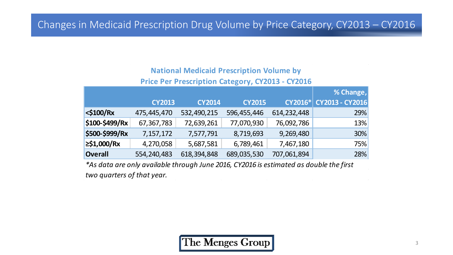## Changes in Medicaid Prescription Drug Volume by Price Category, CY2013 – CY2016

### **National Medicaid Prescription Volume by**

### **Price Per Prescription Category, CY2013 - CY2016**

|                |               |               |               |                | % Change,       |
|----------------|---------------|---------------|---------------|----------------|-----------------|
|                | <b>CY2013</b> | <b>CY2014</b> | <b>CY2015</b> | <b>CY2016*</b> | CY2013 - CY2016 |
| $<$ \$100/Rx   | 475,445,470   | 532,490,215   | 596,455,446   | 614, 232, 448  | 29%             |
| \$100-\$499/Rx | 67,367,783    | 72,639,261    | 77,070,930    | 76,092,786     | 13%             |
| \$500-\$999/Rx | 7,157,172     | 7,577,791     | 8,719,693     | 9,269,480      | 30%             |
| $≥$ \$1,000/Rx | 4,270,058     | 5,687,581     | 6,789,461     | 7,467,180      | 75%             |
| <b>Overall</b> | 554,240,483   | 618,394,848   | 689,035,530   | 707,061,894    | 28%             |

*\*As data are only available through June 2016, CY2016 is estimated as double the first two quarters of that year.* $\mathcal{L}(\mathcal{L}(\mathcal{L}))$  and the set of the set of the set of the set of the set of the set of the set of the set of the set of the set of the set of the set of the set of the set of the set of the set of the set of the set o



 $\sim 10^{-11}$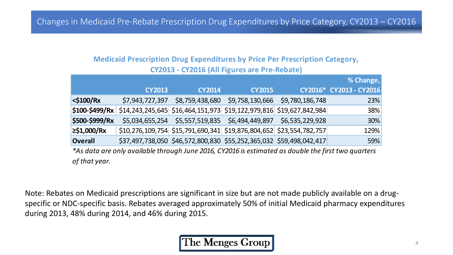### **Medicaid Prescription Drug Expenditures by Price Per Prescription Category, CY2013 - CY2016 (All Figures are Pre-Rebate)**

|                 |                                                                                                |               |                                                                     | % Change,               |
|-----------------|------------------------------------------------------------------------------------------------|---------------|---------------------------------------------------------------------|-------------------------|
|                 | <b>CY2013</b>                                                                                  | <b>CY2014</b> | <b>CY2015</b>                                                       | CY2016* CY2013 - CY2016 |
| $\leq$ \$100/Rx | \$7,943,727,397                                                                                |               | \$8,759,438,680 \$9,758,130,666 \$9,780,186,748                     | 23%                     |
|                 | $ \$$ 100-\$499/Rx   \$14,243,245,645   \$16,464,151,973   \$19,122,979,816   \$19,627,842,984 |               |                                                                     | <b>38%</b>              |
| \$500-\$999/Rx  |                                                                                                |               | \$5,034,655,254 \$5,557,519,835 \$6,494,449,897 \$6,535,229,928     | 30%                     |
| $ ≥$ \$1,000/Rx |                                                                                                |               | \$10,276,109,754 \$15,791,690,341 \$19,876,804,652 \$23,554,782,757 | 129%                    |
| Overall         |                                                                                                |               | \$37,497,738,050 \$46,572,800,830 \$55,252,365,032 \$59,498,042,417 | 59%                     |
|                 |                                                                                                |               |                                                                     |                         |

*\*As data are only available through June 2016, CY2016 is estimated as double the first two quarters of that year.* 이 사람들은 아이들이 아이들이 아니라 아이들이 아이들이 아이들이 아니라 아이들이 아이들이 아니라 아이들이 아니라 아이들이 아니라 아이들이 아니라 아이들이 아니라 아이들이 아니라 아이들이 아니라 아이

Note: Rebates on Medicaid prescriptions are significant in size but are not made publicly available on a drugspecific or NDC-specific basis. Rebates averaged approximately 50% of initial Medicaid pharmacy expenditures during 2013, 48% during 2014, and 46% during 2015.

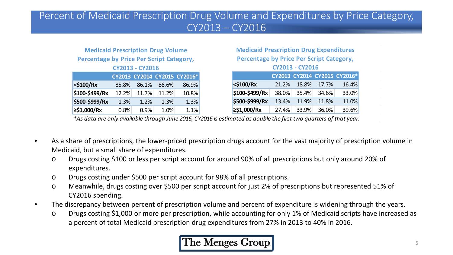## Percent of Medicaid Prescription Drug Volume and Expenditures by Price Category, CY2013 – CY2016

### **Medicaid Prescription Drug Volume Percentage by Price Per Script Category, CY2013 - CY2016**

|                |       |       |       | CY2013 CY2014 CY2015 CY2016* |
|----------------|-------|-------|-------|------------------------------|
| $<$ \$100/Rx   | 85.8% | 86.1% | 86.6% | 86.9%                        |
| \$100-\$499/Rx | 12.2% | 11.7% | 11.2% | 10.8%                        |
| \$500-\$999/Rx | 1.3%  | 1.2%  | 1.3%  | 1.3%                         |
| ≥\$1,000/Rx    | 0.8%  | 0.9%  | 1.0%  | 1.1%                         |

#### **Medicaid Prescription Drug Expenditures Percentage by Price Per Script Category, CY2013 - CY2016**

| CIZUL - CIZULU |       |       |       |                              |
|----------------|-------|-------|-------|------------------------------|
|                |       |       |       | CY2013 CY2014 CY2015 CY2016* |
| <\$100/Rx      | 21.2% | 18.8% | 17.7% | 16.4%                        |
| \$100-\$499/Rx | 38.0% | 35.4% | 34.6% | 33.0%                        |
| \$500-\$999/Rx | 13.4% | 11.9% | 11.8% | 11.0%                        |
| ≥\$1,000/Rx    | 27.4% | 33.9% | 36.0% | 39.6%                        |

*\*As data are only available through June 2016, CY2016 is estimated as double the first two quarters of that year.*

- As a share of prescriptions, the lower-priced prescription drugs account for the vast majority of prescription volume in Medicaid, but a small share of expenditures.
	- o Drugs costing \$100 or less per script account for around 90% of all prescriptions but only around 20% of expenditures.
	- o Drugs costing under \$500 per script account for 98% of all prescriptions.
	- o Meanwhile, drugs costing over \$500 per script account for just 2% of prescriptions but represented 51% of CY2016 spending.
- The discrepancy between percent of prescription volume and percent of expenditure is widening through the years.
	- o Drugs costing \$1,000 or more per prescription, while accounting for only 1% of Medicaid scripts have increased as a percent of total Medicaid prescription drug expenditures from 27% in 2013 to 40% in 2016.

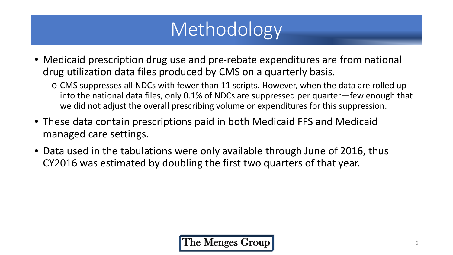# Methodology

- Medicaid prescription drug use and pre-rebate expenditures are from national drug utilization data files produced by CMS on a quarterly basis.
	- o CMS suppresses all NDCs with fewer than 11 scripts. However, when the data are rolled up into the national data files, only 0.1% of NDCs are suppressed per quarter—few enough that we did not adjust the overall prescribing volume or expenditures for this suppression.
- These data contain prescriptions paid in both Medicaid FFS and Medicaid managed care settings.
- Data used in the tabulations were only available through June of 2016, thus CY2016 was estimated by doubling the first two quarters of that year.